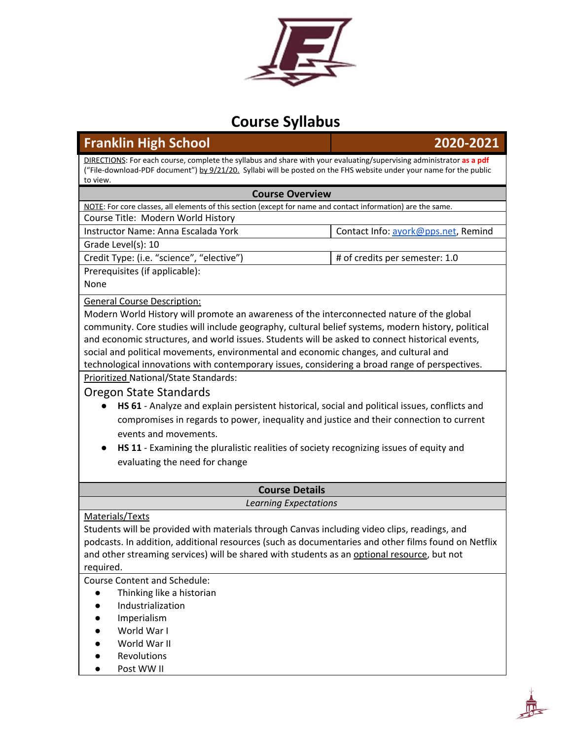

# **Course Syllabus**

## **Franklin High School 2020-2021**

DIRECTIONS: For each course, complete the syllabus and share with your evaluating/supervising administrator **as a pdf** ("File-download-PDF document") by 9/21/20. Syllabi will be posted on the FHS website under your name for the public to view.

#### **Course Overview**

NOTE: For core classes, all elements of this section (except for name and contact information) are the same. Course Title: Modern World History Instructor Name: Anna Escalada York Contact Info: [ayork@pps.net](mailto:ayork@pps.net), Remind Grade Level(s): 10 Credit Type: (i.e. "science", "elective")  $\qquad$  # of credits per semester: 1.0 Prerequisites (if applicable): None General Course Description: Modern World History will promote an awareness of the interconnected nature of the global community. Core studies will include geography, cultural belief systems, modern history, political and economic structures, and world issues. Students will be asked to connect historical events, social and political movements, environmental and economic changes, and cultural and technological innovations with contemporary issues, considering a broad range of perspectives. Prioritized National/State Standards: Oregon State Standards ● **HS 61** - Analyze and explain persistent historical, social and political issues, conflicts and compromises in regards to power, inequality and justice and their connection to current

- events and movements.
- **HS 11** Examining the pluralistic realities of society recognizing issues of equity and evaluating the need for change

#### **Course Details** *Learning Expectations*

### Materials/Texts

Students will be provided with materials through Canvas including video clips, readings, and podcasts. In addition, additional resources (such as documentaries and other films found on Netflix and other streaming services) will be shared with students as an optional resource, but not required.

Course Content and Schedule:

- Thinking like a historian
- **Industrialization**
- **Imperialism**
- World War I
- World War II
- **Revolutions**
- Post WW II

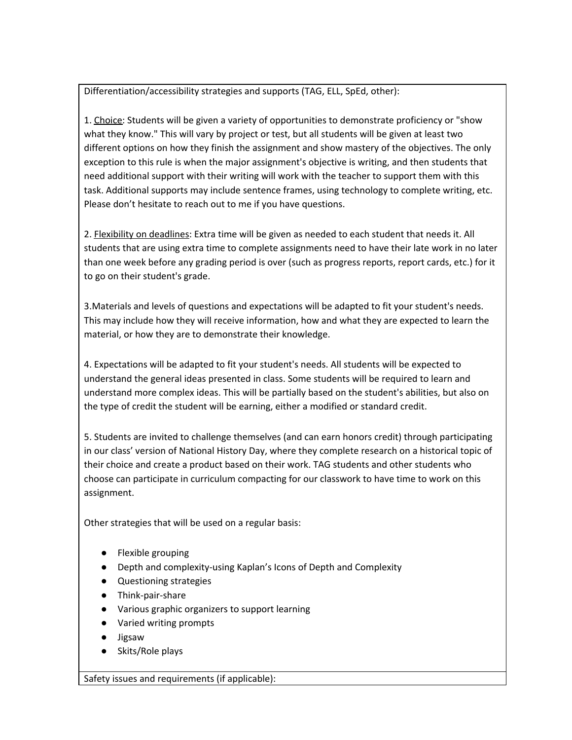Differentiation/accessibility strategies and supports (TAG, ELL, SpEd, other):

1. Choice: Students will be given a variety of opportunities to demonstrate proficiency or "show what they know." This will vary by project or test, but all students will be given at least two different options on how they finish the assignment and show mastery of the objectives. The only exception to this rule is when the major assignment's objective is writing, and then students that need additional support with their writing will work with the teacher to support them with this task. Additional supports may include sentence frames, using technology to complete writing, etc. Please don't hesitate to reach out to me if you have questions.

2. **Flexibility on deadlines:** Extra time will be given as needed to each student that needs it. All students that are using extra time to complete assignments need to have their late work in no later than one week before any grading period is over (such as progress reports, report cards, etc.) for it to go on their student's grade.

3.Materials and levels of questions and expectations will be adapted to fit your student's needs. This may include how they will receive information, how and what they are expected to learn the material, or how they are to demonstrate their knowledge.

4. Expectations will be adapted to fit your student's needs. All students will be expected to understand the general ideas presented in class. Some students will be required to learn and understand more complex ideas. This will be partially based on the student's abilities, but also on the type of credit the student will be earning, either a modified or standard credit.

5. Students are invited to challenge themselves (and can earn honors credit) through participating in our class' version of National History Day, where they complete research on a historical topic of their choice and create a product based on their work. TAG students and other students who choose can participate in curriculum compacting for our classwork to have time to work on this assignment.

Other strategies that will be used on a regular basis:

- Flexible grouping
- Depth and complexity-using Kaplan's Icons of Depth and Complexity
- Questioning strategies
- Think-pair-share
- Various graphic organizers to support learning
- Varied writing prompts
- Jigsaw
- Skits/Role plays

Safety issues and requirements (if applicable):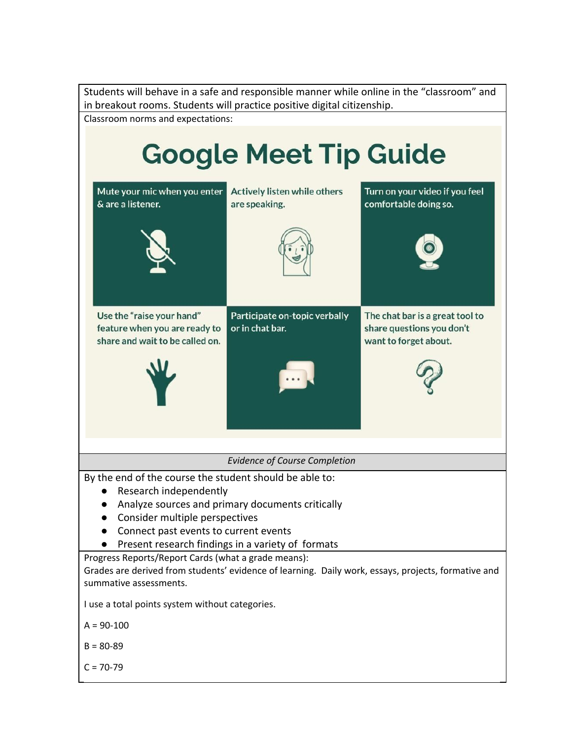Students will behave in a safe and responsible manner while online in the "classroom" and in breakout rooms. Students will practice positive digital citizenship. Classroom norms and expectations: